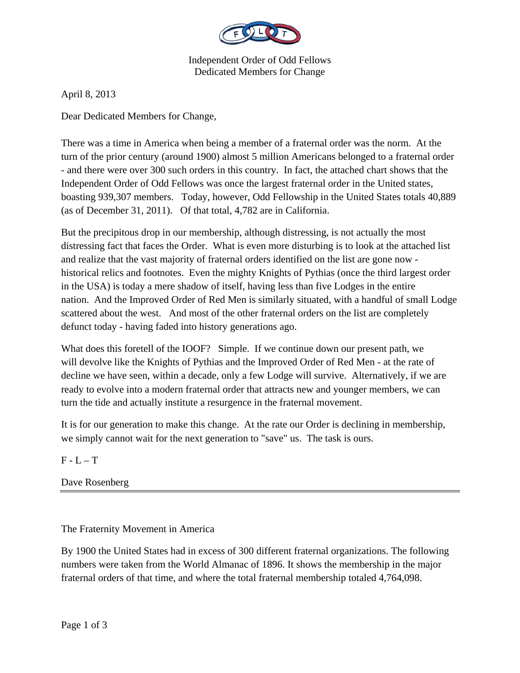

Independent Order of Odd Fellows Dedicated Members for Change

April 8, 2013

Dear Dedicated Members for Change,

There was a time in America when being a member of a fraternal order was the norm. At the turn of the prior century (around 1900) almost 5 million Americans belonged to a fraternal order - and there were over 300 such orders in this country. In fact, the attached chart shows that the Independent Order of Odd Fellows was once the largest fraternal order in the United states, boasting 939,307 members. Today, however, Odd Fellowship in the United States totals 40,889 (as of December 31, 2011). Of that total, 4,782 are in California.

But the precipitous drop in our membership, although distressing, is not actually the most distressing fact that faces the Order. What is even more disturbing is to look at the attached list and realize that the vast majority of fraternal orders identified on the list are gone now historical relics and footnotes. Even the mighty Knights of Pythias (once the third largest order in the USA) is today a mere shadow of itself, having less than five Lodges in the entire nation. And the Improved Order of Red Men is similarly situated, with a handful of small Lodge scattered about the west. And most of the other fraternal orders on the list are completely defunct today - having faded into history generations ago.

What does this foretell of the IOOF? Simple. If we continue down our present path, we will devolve like the Knights of Pythias and the Improved Order of Red Men - at the rate of decline we have seen, within a decade, only a few Lodge will survive. Alternatively, if we are ready to evolve into a modern fraternal order that attracts new and younger members, we can turn the tide and actually institute a resurgence in the fraternal movement.

It is for our generation to make this change. At the rate our Order is declining in membership, we simply cannot wait for the next generation to "save" us. The task is ours.

 $F - L - T$ 

Dave Rosenberg

The Fraternity Movement in America

By 1900 the United States had in excess of 300 different fraternal organizations. The following numbers were taken from the World Almanac of 1896. It shows the membership in the major fraternal orders of that time, and where the total fraternal membership totaled 4,764,098.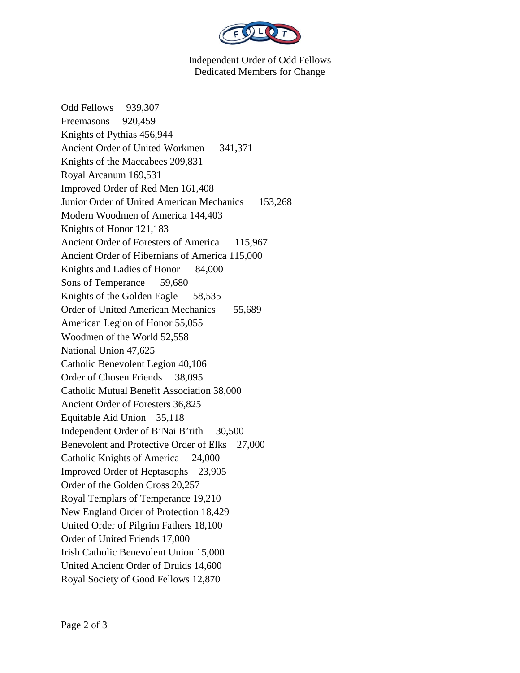

## Independent Order of Odd Fellows Dedicated Members for Change

Odd Fellows 939,307 Freemasons 920,459 Knights of Pythias 456,944 Ancient Order of United Workmen 341,371 Knights of the Maccabees 209,831 Royal Arcanum 169,531 Improved Order of Red Men 161,408 Junior Order of United American Mechanics 153,268 Modern Woodmen of America 144,403 Knights of Honor 121,183 Ancient Order of Foresters of America 115,967 Ancient Order of Hibernians of America 115,000 Knights and Ladies of Honor 84,000 Sons of Temperance 59,680 Knights of the Golden Eagle 58,535 Order of United American Mechanics 55,689 American Legion of Honor 55,055 Woodmen of the World 52,558 National Union 47,625 Catholic Benevolent Legion 40,106 Order of Chosen Friends 38,095 Catholic Mutual Benefit Association 38,000 Ancient Order of Foresters 36,825 Equitable Aid Union 35,118 Independent Order of B'Nai B'rith 30,500 Benevolent and Protective Order of Elks 27,000 Catholic Knights of America 24,000 Improved Order of Heptasophs 23,905 Order of the Golden Cross 20,257 Royal Templars of Temperance 19,210 New England Order of Protection 18,429 United Order of Pilgrim Fathers 18,100 Order of United Friends 17,000 Irish Catholic Benevolent Union 15,000 United Ancient Order of Druids 14,600 Royal Society of Good Fellows 12,870